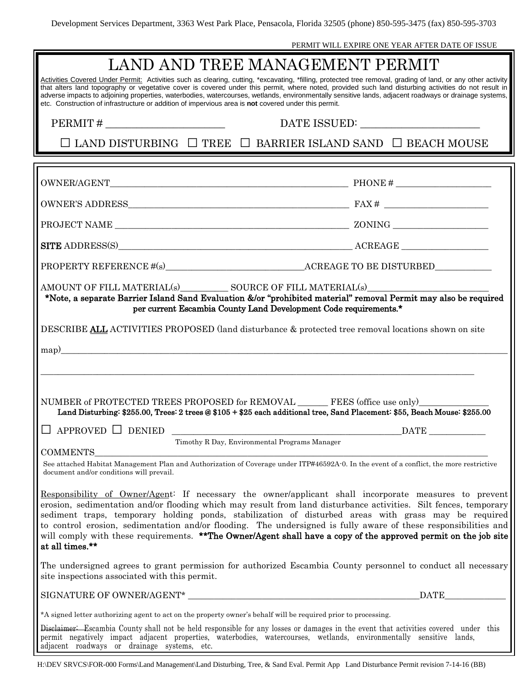PERMIT WILL EXPIRE ONE YEAR AFTER DATE OF ISSUE

| LAND AND TREE MANAGEMENT PERMIT                                                                                                                                                                                                                                                                                                                                                                                                                                                                                                                                                            |                          |  |  |
|--------------------------------------------------------------------------------------------------------------------------------------------------------------------------------------------------------------------------------------------------------------------------------------------------------------------------------------------------------------------------------------------------------------------------------------------------------------------------------------------------------------------------------------------------------------------------------------------|--------------------------|--|--|
| Activities Covered Under Permit: Activities such as clearing, cutting, *excavating, *filling, protected tree removal, grading of land, or any other activity<br>that alters land topography or vegetative cover is covered under this permit, where noted, provided such land disturbing activities do not result in<br>adverse impacts to adjoining properties, waterbodies, watercourses, wetlands, environmentally sensitive lands, adjacent roadways or drainage systems,<br>etc. Construction of infrastructure or addition of impervious area is not covered under this permit.      |                          |  |  |
| $PERMIT # \_$                                                                                                                                                                                                                                                                                                                                                                                                                                                                                                                                                                              |                          |  |  |
| $\Box$ LAND DISTURBING $\Box$ TREE $\Box$ BARRIER ISLAND SAND $\Box$ BEACH MOUSE                                                                                                                                                                                                                                                                                                                                                                                                                                                                                                           |                          |  |  |
|                                                                                                                                                                                                                                                                                                                                                                                                                                                                                                                                                                                            |                          |  |  |
|                                                                                                                                                                                                                                                                                                                                                                                                                                                                                                                                                                                            |                          |  |  |
|                                                                                                                                                                                                                                                                                                                                                                                                                                                                                                                                                                                            |                          |  |  |
|                                                                                                                                                                                                                                                                                                                                                                                                                                                                                                                                                                                            |                          |  |  |
| SITE ADDRESS(S) ACREAGE                                                                                                                                                                                                                                                                                                                                                                                                                                                                                                                                                                    |                          |  |  |
|                                                                                                                                                                                                                                                                                                                                                                                                                                                                                                                                                                                            |                          |  |  |
| AMOUNT OF FILL MATERIAL(s) SOURCE OF FILL MATERIAL(s)<br>*Note, a separate Barrier Island Sand Evaluation &/or "prohibited material" removal Permit may also be required<br>per current Escambia County Land Development Code requirements.*                                                                                                                                                                                                                                                                                                                                               |                          |  |  |
| DESCRIBE ALL ACTIVITIES PROPOSED (land disturbance & protected tree removal locations shown on site                                                                                                                                                                                                                                                                                                                                                                                                                                                                                        |                          |  |  |
|                                                                                                                                                                                                                                                                                                                                                                                                                                                                                                                                                                                            |                          |  |  |
|                                                                                                                                                                                                                                                                                                                                                                                                                                                                                                                                                                                            |                          |  |  |
| NUMBER of PROTECTED TREES PROPOSED for REMOVAL ________ FEES (office use only)_______<br>Land Disturbing: \$255.00, Trees: 2 trees @ \$105 + \$25 each additional tree, Sand Placement: \$55, Beach Mouse: \$255.00                                                                                                                                                                                                                                                                                                                                                                        |                          |  |  |
| $\Box$ APPROVED $\Box$ DENIED $\_\_$                                                                                                                                                                                                                                                                                                                                                                                                                                                                                                                                                       | $\overline{\text{DATE}}$ |  |  |
| Timothy R Day, Environmental Programs Manager<br><b>COMMENTS</b>                                                                                                                                                                                                                                                                                                                                                                                                                                                                                                                           |                          |  |  |
| See attached Habitat Management Plan and Authorization of Coverage under ITP#46592A-0. In the event of a conflict, the more restrictive<br>document and/or conditions will prevail.                                                                                                                                                                                                                                                                                                                                                                                                        |                          |  |  |
| Responsibility of Owner/Agent: If necessary the owner/applicant shall incorporate measures to prevent<br>erosion, sedimentation and/or flooding which may result from land disturbance activities. Silt fences, temporary<br>sediment traps, temporary holding ponds, stabilization of disturbed areas with grass may be required<br>to control erosion, sedimentation and/or flooding. The undersigned is fully aware of these responsibilities and<br>will comply with these requirements. **The Owner/Agent shall have a copy of the approved permit on the job site<br>at all times.** |                          |  |  |
| The undersigned agrees to grant permission for authorized Escambia County personnel to conduct all necessary<br>site inspections associated with this permit.                                                                                                                                                                                                                                                                                                                                                                                                                              |                          |  |  |
| SIGNATURE OF OWNER/AGENT*                                                                                                                                                                                                                                                                                                                                                                                                                                                                                                                                                                  | <b>DATE</b>              |  |  |
| *A signed letter authorizing agent to act on the property owner's behalf will be required prior to processing.                                                                                                                                                                                                                                                                                                                                                                                                                                                                             |                          |  |  |
| Disclaimer—Escambia County shall not be held responsible for any losses or damages in the event that activities covered under this<br>permit negatively impact adjacent properties, waterbodies, watercourses, wetlands, environmentally sensitive lands,<br>adjacent roadways or drainage systems, etc.                                                                                                                                                                                                                                                                                   |                          |  |  |

H:\DEV SRVCS\FOR-000 Forms\Land Management\Land Disturbing, Tree, & Sand Eval. Permit App Land Disturbance Permit revision 7-14-16 (BB)